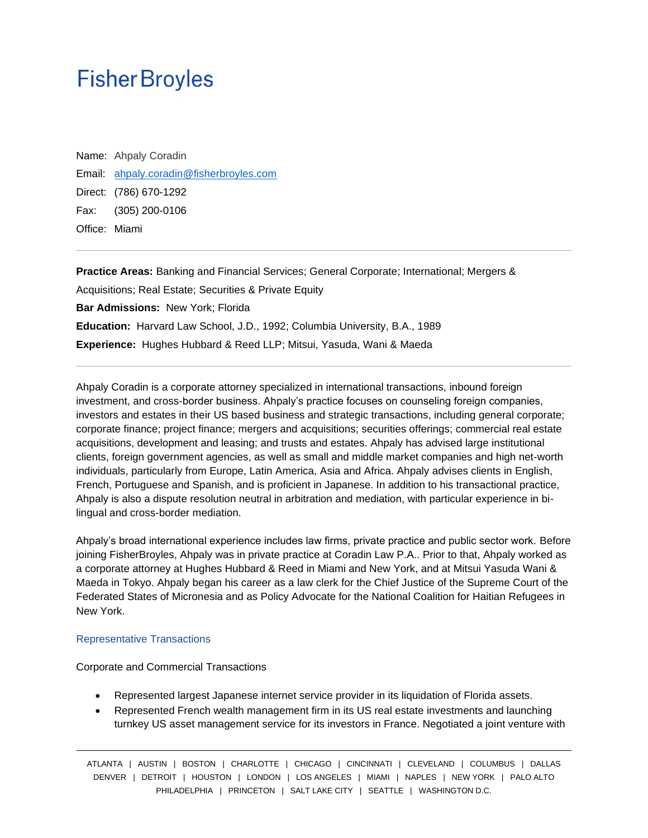# **Fisher Broyles**

Name: Ahpaly Coradin Email: ahpaly.coradin@fisherbroyles.com Direct: (786) 670-1292 Fax: (305) 200-0106 Office: Miami

**Practice Areas:** Banking and Financial Services; General Corporate; International; Mergers & Acquisitions; Real Estate; Securities & Private Equity **Bar Admissions:** New York; Florida **Education:** Harvard Law School, J.D., 1992; Columbia University, B.A., 1989 **Experience:** Hughes Hubbard & Reed LLP; Mitsui, Yasuda, Wani & Maeda

Ahpaly Coradin is a corporate attorney specialized in international transactions, inbound foreign investment, and cross-border business. Ahpaly's practice focuses on counseling foreign companies, investors and estates in their US based business and strategic transactions, including general corporate; corporate finance; project finance; mergers and acquisitions; securities offerings; commercial real estate acquisitions, development and leasing; and trusts and estates. Ahpaly has advised large institutional clients, foreign government agencies, as well as small and middle market companies and high net-worth individuals, particularly from Europe, Latin America, Asia and Africa. Ahpaly advises clients in English, French, Portuguese and Spanish, and is proficient in Japanese. In addition to his transactional practice, Ahpaly is also a dispute resolution neutral in arbitration and mediation, with particular experience in bilingual and cross-border mediation.

Ahpaly's broad international experience includes law firms, private practice and public sector work. Before joining FisherBroyles, Ahpaly was in private practice at Coradin Law P.A.. Prior to that, Ahpaly worked as a corporate attorney at Hughes Hubbard & Reed in Miami and New York, and at Mitsui Yasuda Wani & Maeda in Tokyo. Ahpaly began his career as a law clerk for the Chief Justice of the Supreme Court of the Federated States of Micronesia and as Policy Advocate for the National Coalition for Haitian Refugees in New York.

#### Representative Transactions

Corporate and Commercial Transactions

- Represented largest Japanese internet service provider in its liquidation of Florida assets.
- Represented French wealth management firm in its US real estate investments and launching turnkey US asset management service for its investors in France. Negotiated a joint venture with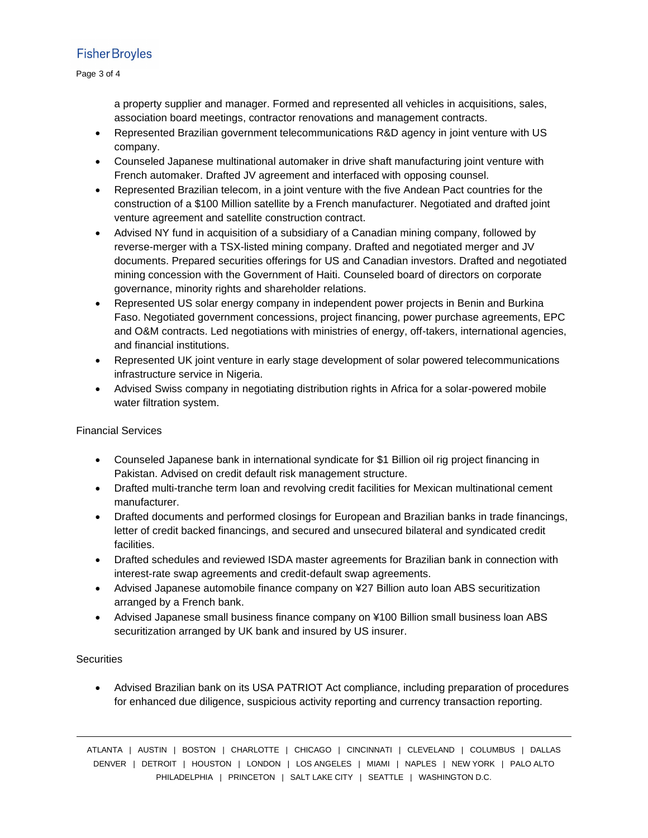# **Fisher Broyles**

#### Page 3 of 4

a property supplier and manager. Formed and represented all vehicles in acquisitions, sales, association board meetings, contractor renovations and management contracts.

- Represented Brazilian government telecommunications R&D agency in joint venture with US company.
- Counseled Japanese multinational automaker in drive shaft manufacturing joint venture with French automaker. Drafted JV agreement and interfaced with opposing counsel.
- Represented Brazilian telecom, in a joint venture with the five Andean Pact countries for the construction of a \$100 Million satellite by a French manufacturer. Negotiated and drafted joint venture agreement and satellite construction contract.
- Advised NY fund in acquisition of a subsidiary of a Canadian mining company, followed by reverse-merger with a TSX-listed mining company. Drafted and negotiated merger and JV documents. Prepared securities offerings for US and Canadian investors. Drafted and negotiated mining concession with the Government of Haiti. Counseled board of directors on corporate governance, minority rights and shareholder relations.
- Represented US solar energy company in independent power projects in Benin and Burkina Faso. Negotiated government concessions, project financing, power purchase agreements, EPC and O&M contracts. Led negotiations with ministries of energy, off-takers, international agencies, and financial institutions.
- Represented UK joint venture in early stage development of solar powered telecommunications infrastructure service in Nigeria.
- Advised Swiss company in negotiating distribution rights in Africa for a solar-powered mobile water filtration system.

## Financial Services

- Counseled Japanese bank in international syndicate for \$1 Billion oil rig project financing in Pakistan. Advised on credit default risk management structure.
- Drafted multi-tranche term loan and revolving credit facilities for Mexican multinational cement manufacturer.
- Drafted documents and performed closings for European and Brazilian banks in trade financings, letter of credit backed financings, and secured and unsecured bilateral and syndicated credit facilities.
- Drafted schedules and reviewed ISDA master agreements for Brazilian bank in connection with interest-rate swap agreements and credit-default swap agreements.
- Advised Japanese automobile finance company on ¥27 Billion auto loan ABS securitization arranged by a French bank.
- Advised Japanese small business finance company on ¥100 Billion small business loan ABS securitization arranged by UK bank and insured by US insurer.

## **Securities**

• Advised Brazilian bank on its USA PATRIOT Act compliance, including preparation of procedures for enhanced due diligence, suspicious activity reporting and currency transaction reporting.

ATLANTA | AUSTIN | BOSTON | CHARLOTTE | CHICAGO | CINCINNATI | CLEVELAND | COLUMBUS | DALLAS DENVER | DETROIT | HOUSTON | LONDON | LOS ANGELES | MIAMI | NAPLES | NEW YORK | PALO ALTO PHILADELPHIA | PRINCETON | SALT LAKE CITY | SEATTLE | WASHINGTON D.C.